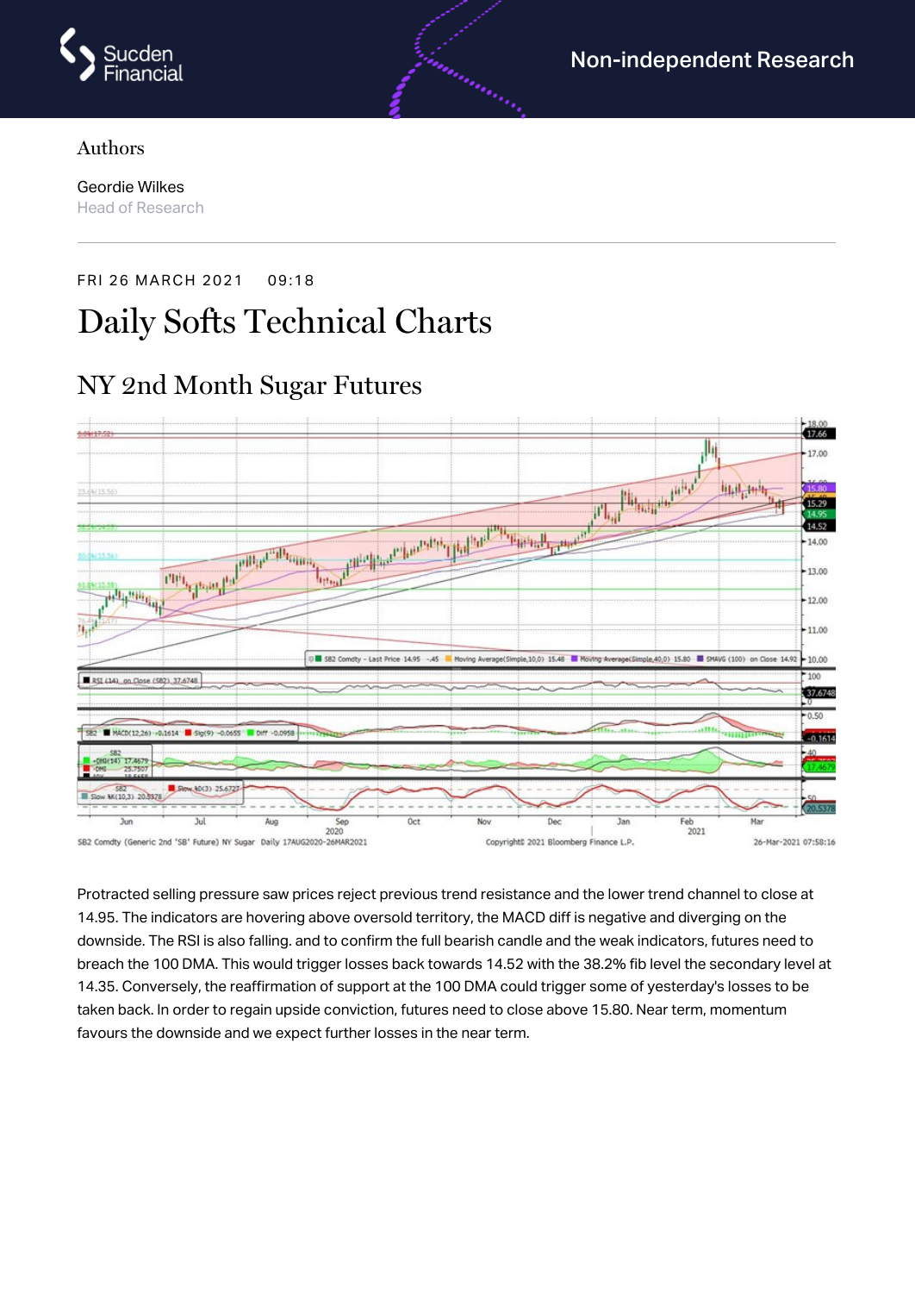

#### Authors

Geordie Wilkes Head of Research

#### FRI 26 MARCH 2021 09:18

# Daily Softs Technical Charts

### NY 2nd Month Sugar Futures



Protracted selling pressure saw prices reject previous trend resistance and the lower trend channel to close at 14.95. The indicators are hovering above oversold territory, the MACD diff is negative and diverging on the downside. The RSI is also falling. and to confirm the full bearish candle and the weak indicators, futures need to breach the 100 DMA. This would trigger losses back towards 14.52 with the 38.2% fib level the secondary level at 14.35. Conversely, the reaffirmation of support at the 100 DMA could trigger some of yesterday's losses to be taken back. In order to regain upside conviction, futures need to close above 15.80. Near term, momentum favours the downside and we expect further losses in the near term.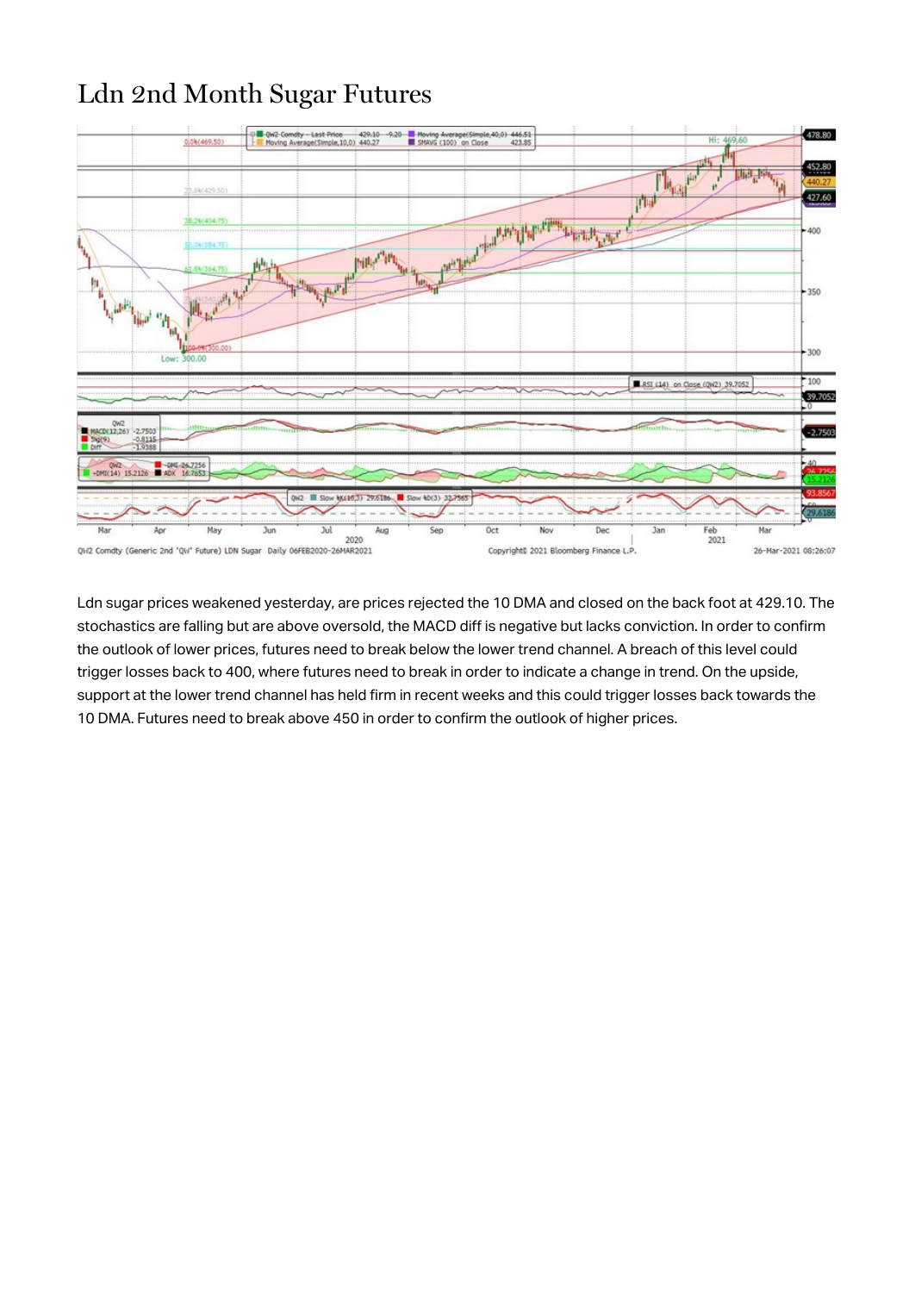## Ldn 2nd Month Sugar Futures



Ldn sugar prices weakened yesterday, are prices rejected the 10 DMA and closed on the back foot at 429.10. The stochastics are falling but are above oversold, the MACD diff is negative but lacks conviction. In order to confirm the outlook of lower prices, futures need to break below the lower trend channel. A breach of this level could trigger losses back to 400, where futures need to break in order to indicate a change in trend. On the upside, support at the lower trend channel has held firm in recent weeks and this could trigger losses back towards the 10 DMA. Futures need to break above 450 in order to confirm the outlook of higher prices.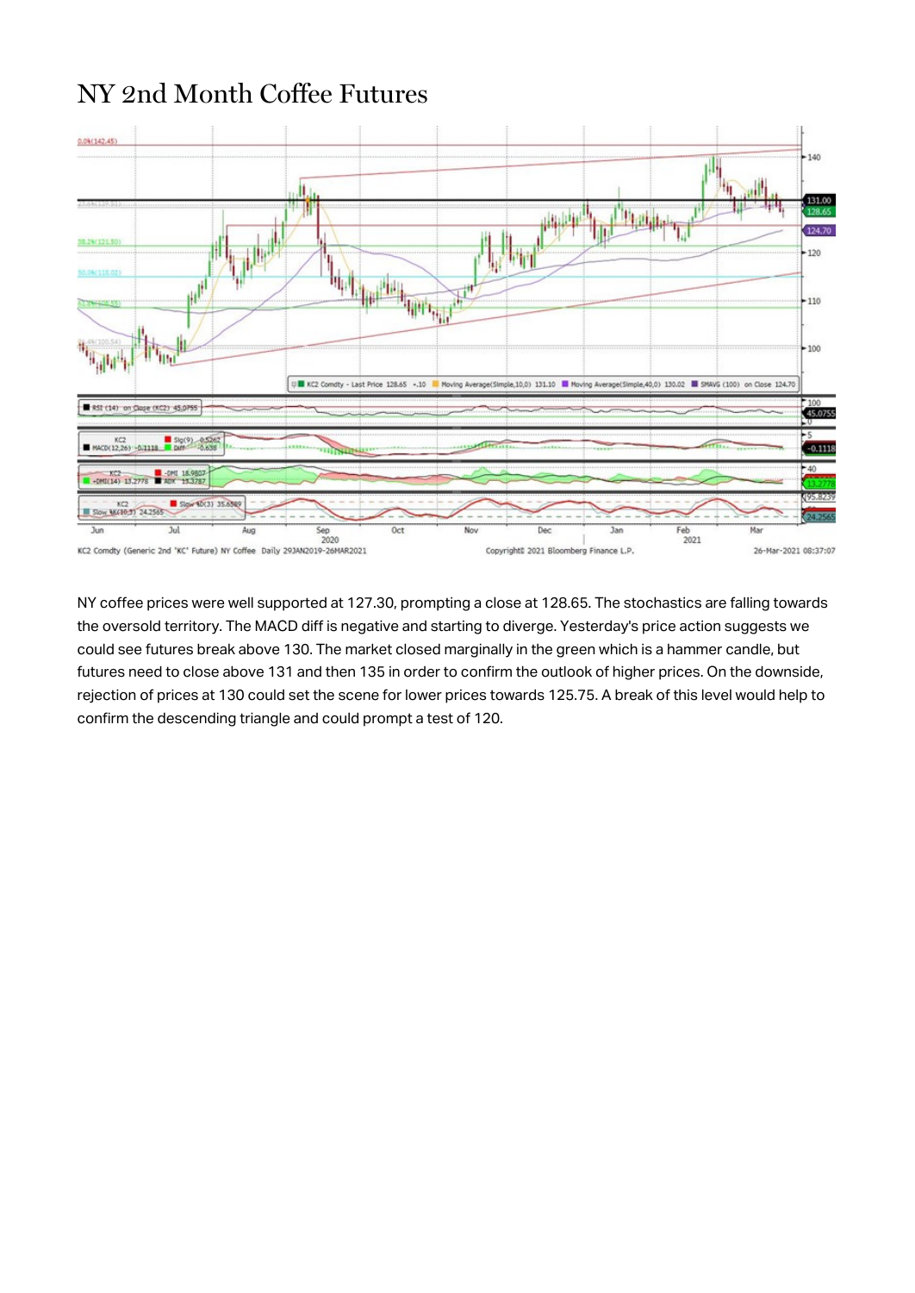### NY 2nd Month Coffee Futures



NY coffee prices were well supported at 127.30, prompting a close at 128.65. The stochastics are falling towards the oversold territory. The MACD diff is negative and starting to diverge. Yesterday's price action suggests we could see futures break above 130. The market closed marginally in the green which is a hammer candle, but futures need to close above 131 and then 135 in order to confirm the outlook of higher prices. On the downside, rejection of prices at 130 could set the scene for lower prices towards 125.75. A break of this level would help to confirm the descending triangle and could prompt a test of 120.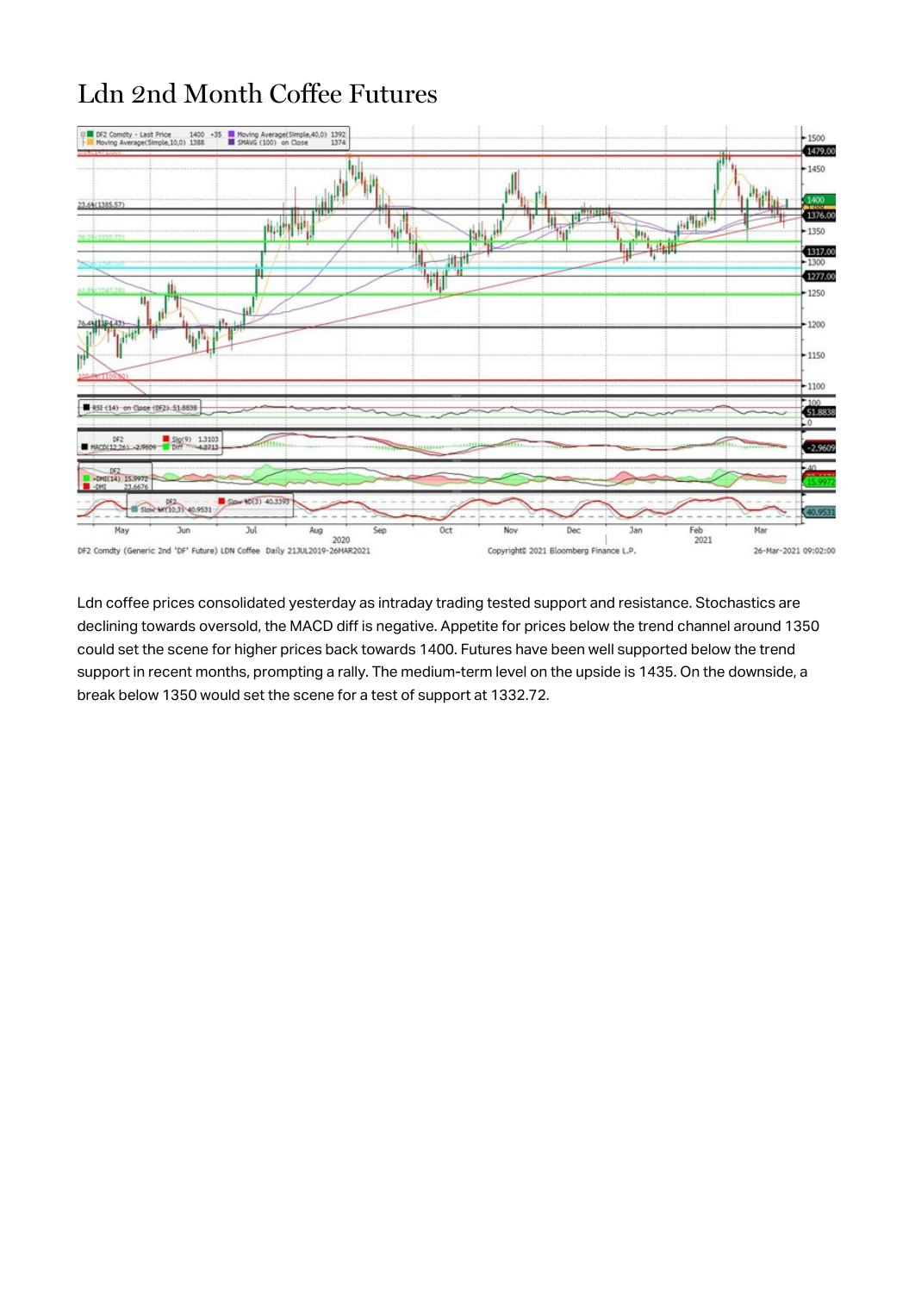## Ldn 2nd Month Coffee Futures



Ldn coffee prices consolidated yesterday as intraday trading tested support and resistance. Stochastics are declining towards oversold, the MACD diff is negative. Appetite for prices below the trend channel around 1350 could set the scene for higher prices back towards 1400. Futures have been well supported below the trend support in recent months, prompting a rally. The medium-term level on the upside is 1435. On the downside, a break below 1350 would set the scene for a test of support at 1332.72.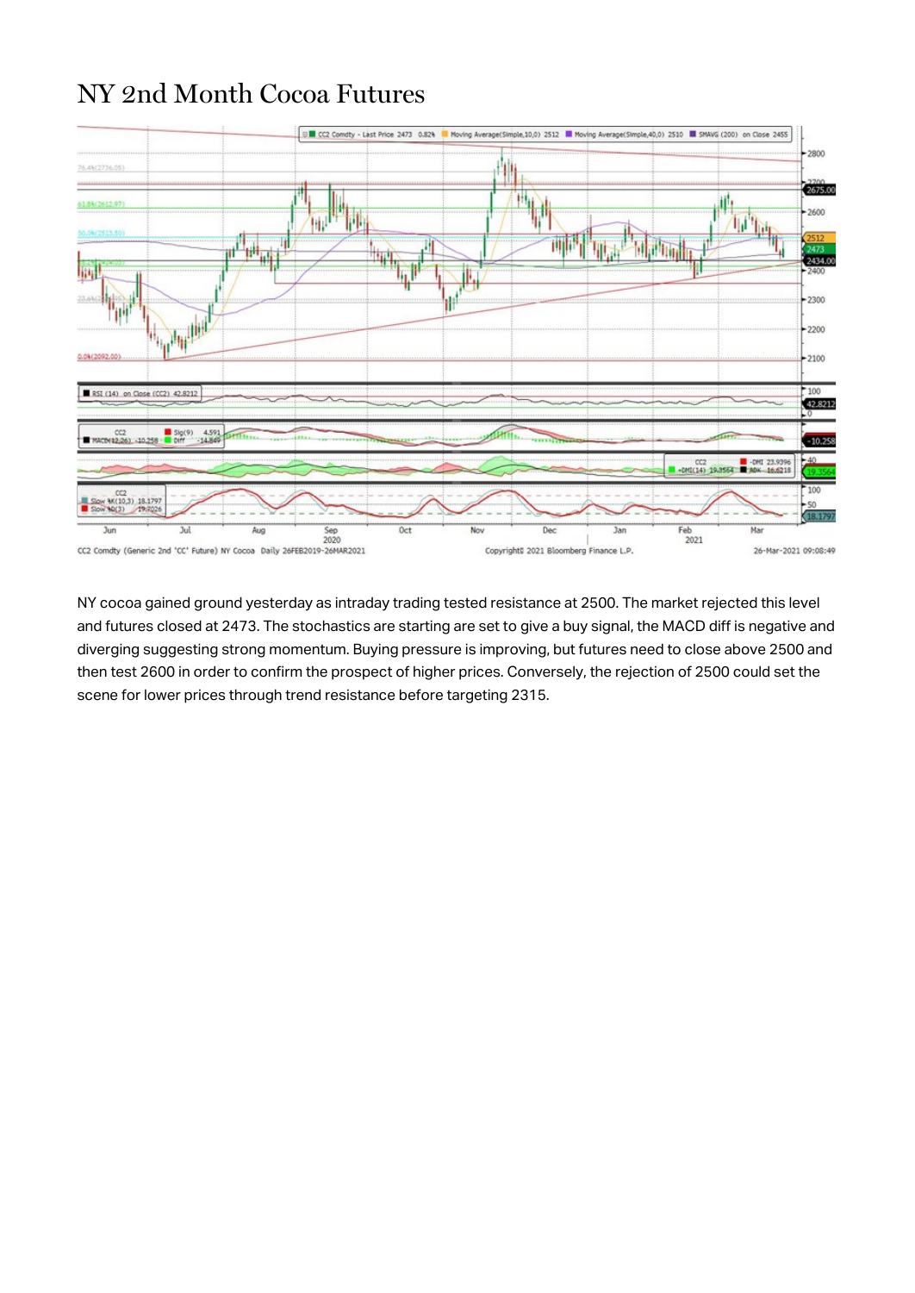#### NY 2nd Month Cocoa Futures



NY cocoa gained ground yesterday as intraday trading tested resistance at 2500. The market rejected this level and futures closed at 2473. The stochastics are starting are set to give a buy signal, the MACD diff is negative and diverging suggesting strong momentum. Buying pressure is improving, but futures need to close above 2500 and then test 2600 in order to confirm the prospect of higher prices. Conversely, the rejection of 2500 could set the scene for lower prices through trend resistance before targeting 2315.